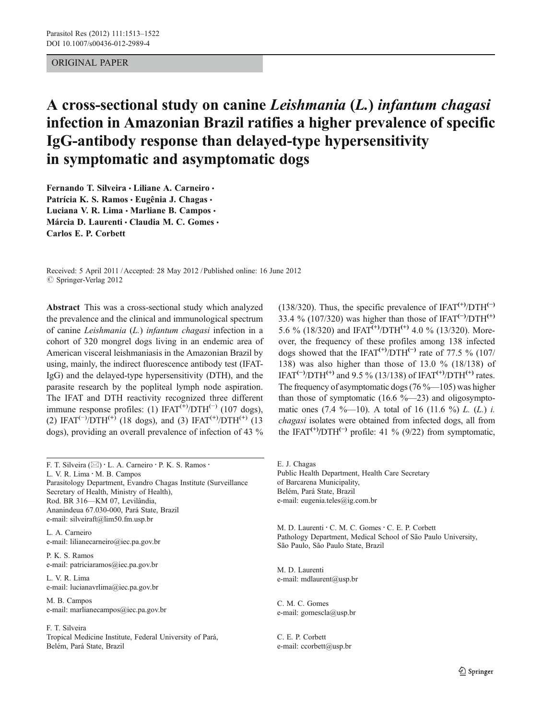# ORIGINAL PAPER

# A cross-sectional study on canine Leishmania (L.) infantum chagasi infection in Amazonian Brazil ratifies a higher prevalence of specific IgG-antibody response than delayed-type hypersensitivity in symptomatic and asymptomatic dogs

Fernando T. Silveira · Liliane A. Carneiro · Patrícia K. S. Ramos · Eugênia J. Chagas · Luciana V. R. Lima · Marliane B. Campos · Márcia D. Laurenti · Claudia M. C. Gomes · Carlos E. P. Corbett

Received: 5 April 2011 /Accepted: 28 May 2012 / Published online: 16 June 2012  $\oslash$  Springer-Verlag 2012

Abstract This was a cross-sectional study which analyzed the prevalence and the clinical and immunological spectrum of canine Leishmania (L.) infantum chagasi infection in a cohort of 320 mongrel dogs living in an endemic area of American visceral leishmaniasis in the Amazonian Brazil by using, mainly, the indirect fluorescence antibody test (IFAT-IgG) and the delayed-type hypersensitivity (DTH), and the parasite research by the popliteal lymph node aspiration. The IFAT and DTH reactivity recognized three different immune response profiles: (1) IFAT<sup>(+)</sup>/DTH<sup>(-)</sup> (107 dogs), (2) IFAT<sup>(-)</sup>/DTH<sup>(+)</sup> (18 dogs), and (3) IFAT<sup>(+)</sup>/DTH<sup>(+)</sup> (13 dogs), providing an overall prevalence of infection of 43 %

F. T. Silveira ( $\boxtimes$ ) · L. A. Carneiro · P. K. S. Ramos · L. V. R. Lima : M. B. Campos Parasitology Department, Evandro Chagas Institute (Surveillance Secretary of Health, Ministry of Health), Rod. BR 316—KM 07, Levilândia, Ananindeua 67.030-000, Pará State, Brazil e-mail: silveiraft@lim50.fm.usp.br

L. A. Carneiro e-mail: lilianecarneiro@iec.pa.gov.br

P. K. S. Ramos e-mail: patriciaramos@iec.pa.gov.br

L. V. R. Lima e-mail: lucianavrlima@iec.pa.gov.br

M. B. Campos e-mail: marlianecampos@iec.pa.gov.br

F. T. Silveira

Tropical Medicine Institute, Federal University of Pará, Belém, Pará State, Brazil

(138/320). Thus, the specific prevalence of IFAT<sup>(+)</sup>/DTH<sup>(-)</sup> 33.4 % (107/320) was higher than those of IFAT<sup>(-)</sup>/DTH<sup>(+)</sup> 5.6 % (18/320) and IFAT<sup>(+)</sup>/DTH<sup>(+)</sup> 4.0 % (13/320). Moreover, the frequency of these profiles among 138 infected dogs showed that the IFAT<sup>(+)</sup>/DTH<sup>(-)</sup> rate of 77.5 % (107/ 138) was also higher than those of 13.0 % (18/138) of IFAT<sup>(-)</sup>/DTH<sup>(+)</sup> and 9.5 % (13/138) of IFAT<sup>(+)</sup>/DTH<sup>(+)</sup> rates. The frequency of asymptomatic dogs (76 %—105) was higher than those of symptomatic (16.6  $\%$ —23) and oligosymptomatic ones  $(7.4 \text{ %} -10)$ . A total of 16  $(11.6 \text{ %})$  L.  $(L)$  i. chagasi isolates were obtained from infected dogs, all from the IFAT<sup>(+)</sup>/DTH<sup>(-)</sup> profile: 41 % (9/22) from symptomatic,

E. J. Chagas Public Health Department, Health Care Secretary of Barcarena Municipality, Belém, Pará State, Brazil e-mail: eugenia.teles@ig.com.br

M. D. Laurenti · C. M. C. Gomes · C. E. P. Corbett Pathology Department, Medical School of São Paulo University, São Paulo, São Paulo State, Brazil

M. D. Laurenti e-mail: mdlaurent@usp.br

C. M. C. Gomes e-mail: gomescla@usp.br

C. E. P. Corbett e-mail: ccorbett@usp.br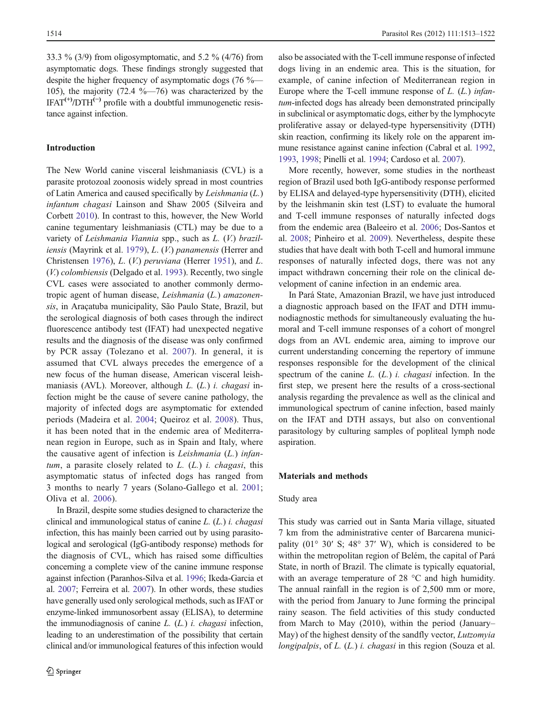33.3 % (3/9) from oligosymptomatic, and 5.2 % (4/76) from asymptomatic dogs. These findings strongly suggested that despite the higher frequency of asymptomatic dogs (76 %— 105), the majority  $(72.4 \text{ %} -76)$  was characterized by the  $IFAT^{(+)}/DTH^{(-)}$  profile with a doubtful immunogenetic resistance against infection.

# Introduction

The New World canine visceral leishmaniasis (CVL) is a parasite protozoal zoonosis widely spread in most countries of Latin America and caused specifically by Leishmania (L.) infantum chagasi Lainson and Shaw 2005 (Silveira and Corbett [2010\)](#page-8-0). In contrast to this, however, the New World canine tegumentary leishmaniasis (CTL) may be due to a variety of Leishmania Viannia spp., such as L. (V.) braziliensis (Mayrink et al. [1979](#page-8-0)), L. (V.) panamensis (Herrer and Christensen [1976](#page-8-0)), L. (V.) peruviana (Herrer [1951](#page-8-0)), and L. (V.) colombiensis (Delgado et al. [1993](#page-8-0)). Recently, two single CVL cases were associated to another commonly dermotropic agent of human disease, Leishmania (L.) amazonensis, in Araçatuba municipality, São Paulo State, Brazil, but the serological diagnosis of both cases through the indirect fluorescence antibody test (IFAT) had unexpected negative results and the diagnosis of the disease was only confirmed by PCR assay (Tolezano et al. [2007](#page-9-0)). In general, it is assumed that CVL always precedes the emergence of a new focus of the human disease, American visceral leishmaniasis (AVL). Moreover, although L. (L.) i. chagasi infection might be the cause of severe canine pathology, the majority of infected dogs are asymptomatic for extended periods (Madeira et al. [2004;](#page-8-0) Queiroz et al. [2008\)](#page-8-0). Thus, it has been noted that in the endemic area of Mediterranean region in Europe, such as in Spain and Italy, where the causative agent of infection is Leishmania (L.) infantum, a parasite closely related to  $L$ .  $(L)$  i. *chagasi*, this asymptomatic status of infected dogs has ranged from 3 months to nearly 7 years (Solano-Gallego et al. [2001](#page-9-0); Oliva et al. [2006\)](#page-8-0).

In Brazil, despite some studies designed to characterize the clinical and immunological status of canine  $L$ .  $(L)$  *i. chagasi* infection, this has mainly been carried out by using parasitological and serological (IgG-antibody response) methods for the diagnosis of CVL, which has raised some difficulties concerning a complete view of the canine immune response against infection (Paranhos-Silva et al. [1996;](#page-8-0) Ikeda-Garcia et al. [2007](#page-8-0); Ferreira et al. [2007\)](#page-8-0). In other words, these studies have generally used only serological methods, such as IFAT or enzyme-linked immunosorbent assay (ELISA), to determine the immunodiagnosis of canine  $L$ .  $(L)$  *i. chagasi* infection, leading to an underestimation of the possibility that certain clinical and/or immunological features of this infection would also be associated with the T-cell immune response of infected dogs living in an endemic area. This is the situation, for example, of canine infection of Mediterranean region in Europe where the T-cell immune response of  $L$ .  $(L)$  infantum-infected dogs has already been demonstrated principally in subclinical or asymptomatic dogs, either by the lymphocyte proliferative assay or delayed-type hypersensitivity (DTH) skin reaction, confirming its likely role on the apparent immune resistance against canine infection (Cabral et al. [1992,](#page-7-0) [1993,](#page-7-0) [1998](#page-7-0); Pinelli et al. [1994](#page-8-0); Cardoso et al. [2007\)](#page-7-0).

More recently, however, some studies in the northeast region of Brazil used both IgG-antibody response performed by ELISA and delayed-type hypersensitivity (DTH), elicited by the leishmanin skin test (LST) to evaluate the humoral and T-cell immune responses of naturally infected dogs from the endemic area (Baleeiro et al. [2006;](#page-7-0) Dos-Santos et al. [2008](#page-8-0); Pinheiro et al. [2009](#page-8-0)). Nevertheless, despite these studies that have dealt with both T-cell and humoral immune responses of naturally infected dogs, there was not any impact withdrawn concerning their role on the clinical development of canine infection in an endemic area.

In Pará State, Amazonian Brazil, we have just introduced a diagnostic approach based on the IFAT and DTH immunodiagnostic methods for simultaneously evaluating the humoral and T-cell immune responses of a cohort of mongrel dogs from an AVL endemic area, aiming to improve our current understanding concerning the repertory of immune responses responsible for the development of the clinical spectrum of the canine  $L$ .  $(L)$  *i. chagasi* infection. In the first step, we present here the results of a cross-sectional analysis regarding the prevalence as well as the clinical and immunological spectrum of canine infection, based mainly on the IFAT and DTH assays, but also on conventional parasitology by culturing samples of popliteal lymph node aspiration.

#### Materials and methods

#### Study area

This study was carried out in Santa Maria village, situated 7 km from the administrative center of Barcarena municipality  $(01^{\circ} 30' S; 48^{\circ} 37' W)$ , which is considered to be within the metropolitan region of Belém, the capital of Pará State, in north of Brazil. The climate is typically equatorial, with an average temperature of 28 °C and high humidity. The annual rainfall in the region is of 2,500 mm or more, with the period from January to June forming the principal rainy season. The field activities of this study conducted from March to May (2010), within the period (January– May) of the highest density of the sandfly vector, Lutzomyia longipalpis, of L. (L.) *i. chagasi* in this region (Souza et al.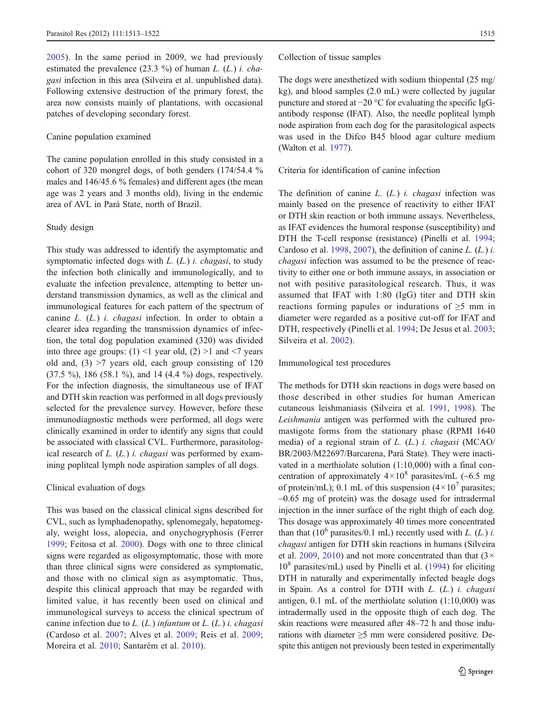[2005\)](#page-9-0). In the same period in 2009, we had previously estimated the prevalence  $(23.3 \%)$  of human L. (L.) i. chagasi infection in this area (Silveira et al. unpublished data). Following extensive destruction of the primary forest, the area now consists mainly of plantations, with occasional patches of developing secondary forest.

#### Canine population examined

The canine population enrolled in this study consisted in a cohort of 320 mongrel dogs, of both genders (174/54.4 % males and 146/45.6 % females) and different ages (the mean age was 2 years and 3 months old), living in the endemic area of AVL in Pará State, north of Brazil.

# Study design

This study was addressed to identify the asymptomatic and symptomatic infected dogs with  $L$ .  $(L)$  *i. chagasi*, to study the infection both clinically and immunologically, and to evaluate the infection prevalence, attempting to better understand transmission dynamics, as well as the clinical and immunological features for each pattern of the spectrum of canine  $L$ .  $(L)$  *i. chagasi* infection. In order to obtain a clearer idea regarding the transmission dynamics of infection, the total dog population examined (320) was divided into three age groups:  $(1)$  < 1 year old,  $(2)$  >1 and <7 years old and,  $(3)$  >7 years old, each group consisting of 120 (37.5 %), 186 (58.1 %), and 14 (4.4 %) dogs, respectively. For the infection diagnosis, the simultaneous use of IFAT and DTH skin reaction was performed in all dogs previously selected for the prevalence survey. However, before these immunodiagnostic methods were performed, all dogs were clinically examined in order to identify any signs that could be associated with classical CVL. Furthermore, parasitological research of  $L$ .  $(L)$  *i. chagasi* was performed by examining popliteal lymph node aspiration samples of all dogs.

#### Clinical evaluation of dogs

This was based on the classical clinical signs described for CVL, such as lymphadenopathy, splenomegaly, hepatomegaly, weight loss, alopecia, and onychogryphosis (Ferrer [1999;](#page-8-0) Feitosa et al. [2000\)](#page-8-0). Dogs with one to three clinical signs were regarded as oligosymptomatic, those with more than three clinical signs were considered as symptomatic, and those with no clinical sign as asymptomatic. Thus, despite this clinical approach that may be regarded with limited value, it has recently been used on clinical and immunological surveys to access the clinical spectrum of canine infection due to  $L$ . ( $L$ .) infantum or  $L$ . ( $L$ .) i. chagasi (Cardoso et al. [2007](#page-7-0); Alves et al. [2009](#page-7-0); Reis et al. [2009](#page-8-0); Moreira et al. [2010;](#page-8-0) Santarém et al. [2010](#page-8-0)).

#### Collection of tissue samples

The dogs were anesthetized with sodium thiopental (25 mg/ kg), and blood samples (2.0 mL) were collected by jugular puncture and stored at −20 °C for evaluating the specific IgGantibody response (IFAT). Also, the needle popliteal lymph node aspiration from each dog for the parasitological aspects was used in the Difco B45 blood agar culture medium (Walton et al. [1977\)](#page-9-0).

### Criteria for identification of canine infection

The definition of canine  $L$ .  $(L)$  i. *chagasi* infection was mainly based on the presence of reactivity to either IFAT or DTH skin reaction or both immune assays. Nevertheless, as IFAT evidences the humoral response (susceptibility) and DTH the T-cell response (resistance) (Pinelli et al. [1994;](#page-8-0) Cardoso et al. [1998](#page-7-0), [2007\)](#page-7-0), the definition of canine  $L$ . ( $L$ .)  $i$ . chagasi infection was assumed to be the presence of reactivity to either one or both immune assays, in association or not with positive parasitological research. Thus, it was assumed that IFAT with 1:80 (IgG) titer and DTH skin reactions forming papules or indurations of ≥5 mm in diameter were regarded as a positive cut-off for IFAT and DTH, respectively (Pinelli et al. [1994;](#page-8-0) De Jesus et al. [2003;](#page-7-0) Silveira et al. [2002\)](#page-8-0).

## Immunological test procedures

The methods for DTH skin reactions in dogs were based on those described in other studies for human American cutaneous leishmaniasis (Silveira et al. [1991,](#page-8-0) [1998\)](#page-8-0). The Leishmania antigen was performed with the cultured promastigote forms from the stationary phase (RPMI 1640 media) of a regional strain of L. (L.) i. chagasi (MCAO/ BR/2003/M22697/Barcarena, Pará State). They were inactivated in a merthiolate solution (1:10,000) with a final concentration of approximately  $4 \times 10^8$  parasites/mL (~6.5 mg) of protein/mL); 0.1 mL of this suspension  $(4 \times 10^7$  parasites;  $\sim 0.65$  mg of protein) was the dosage used for intradermal injection in the inner surface of the right thigh of each dog. This dosage was approximately 40 times more concentrated than that (10<sup>6</sup> parasites/0.1 mL) recently used with L. (L.) i. chagasi antigen for DTH skin reactions in humans (Silveira et al. [2009,](#page-8-0) [2010](#page-8-0)) and not more concentrated than that  $(3 \times$  $10<sup>8</sup>$  parasites/mL) used by Pinelli et al. ([1994\)](#page-8-0) for eliciting DTH in naturally and experimentally infected beagle dogs in Spain. As a control for DTH with L. (L.) i. chagasi antigen, 0.1 mL of the merthiolate solution (1:10,000) was intradermally used in the opposite thigh of each dog. The skin reactions were measured after 48–72 h and those indurations with diameter  $\geq$ 5 mm were considered positive. Despite this antigen not previously been tested in experimentally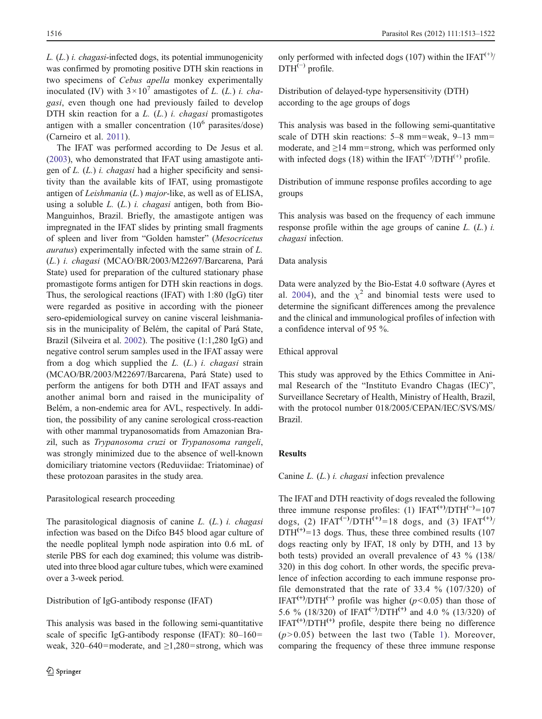$L_{1}(L)$  *i. chagasi*-infected dogs, its potential immunogenicity was confirmed by promoting positive DTH skin reactions in two specimens of Cebus apella monkey experimentally inoculated (IV) with  $3 \times 10^7$  amastigotes of L. (L.) i. chagasi, even though one had previously failed to develop DTH skin reaction for a  $L$ .  $(L)$  i. *chagasi* promastigotes antigen with a smaller concentration  $(10^6 \text{ parasites/dose})$ (Carneiro et al. [2011](#page-7-0)).

The IFAT was performed according to De Jesus et al. [\(2003](#page-7-0)), who demonstrated that IFAT using amastigote antigen of L. (L.) i. chagasi had a higher specificity and sensitivity than the available kits of IFAT, using promastigote antigen of Leishmania (L.) major-like, as well as of ELISA, using a soluble  $L$ .  $(L)$  *i. chagasi* antigen, both from Bio-Manguinhos, Brazil. Briefly, the amastigote antigen was impregnated in the IFAT slides by printing small fragments of spleen and liver from "Golden hamster" (Mesocricetus auratus) experimentally infected with the same strain of L. (L.) i. chagasi (MCAO/BR/2003/M22697/Barcarena, Pará State) used for preparation of the cultured stationary phase promastigote forms antigen for DTH skin reactions in dogs. Thus, the serological reactions (IFAT) with 1:80 (IgG) titer were regarded as positive in according with the pioneer sero-epidemiological survey on canine visceral leishmaniasis in the municipality of Belém, the capital of Pará State, Brazil (Silveira et al. [2002\)](#page-8-0). The positive (1:1,280 IgG) and negative control serum samples used in the IFAT assay were from a dog which supplied the  $L$ .  $(L)$  i. *chagasi* strain (MCAO/BR/2003/M22697/Barcarena, Pará State) used to perform the antigens for both DTH and IFAT assays and another animal born and raised in the municipality of Belém, a non-endemic area for AVL, respectively. In addition, the possibility of any canine serological cross-reaction with other mammal trypanosomatids from Amazonian Brazil, such as Trypanosoma cruzi or Trypanosoma rangeli, was strongly minimized due to the absence of well-known domiciliary triatomine vectors (Reduviidae: Triatominae) of these protozoan parasites in the study area.

## Parasitological research proceeding

The parasitological diagnosis of canine  $L$ .  $(L)$  *i. chagasi* infection was based on the Difco B45 blood agar culture of the needle popliteal lymph node aspiration into 0.6 mL of sterile PBS for each dog examined; this volume was distributed into three blood agar culture tubes, which were examined over a 3-week period.

#### Distribution of IgG-antibody response (IFAT)

This analysis was based in the following semi-quantitative scale of specific IgG-antibody response (IFAT):  $80-160=$ weak, 320–640=moderate, and  $\geq$ 1,280=strong, which was only performed with infected dogs (107) within the IFAT<sup> $(+)$ </sup>  $DTH^{(-)}$  profile.

Distribution of delayed-type hypersensitivity (DTH) according to the age groups of dogs

This analysis was based in the following semi-quantitative scale of DTH skin reactions:  $5-8$  mm=weak,  $9-13$  mm= moderate, and  $\geq$ 14 mm=strong, which was performed only with infected dogs (18) within the IFAT<sup>(-)</sup>/DTH<sup>(+)</sup> profile.

Distribution of immune response profiles according to age groups

This analysis was based on the frequency of each immune response profile within the age groups of canine  $L$ .  $(L)$  i. chagasi infection.

# Data analysis

Data were analyzed by the Bio-Estat 4.0 software (Ayres et al. [2004\)](#page-7-0), and the  $\chi^2$  and binomial tests were used to determine the significant differences among the prevalence and the clinical and immunological profiles of infection with a confidence interval of 95 %.

#### Ethical approval

This study was approved by the Ethics Committee in Animal Research of the "Instituto Evandro Chagas (IEC)", Surveillance Secretary of Health, Ministry of Health, Brazil, with the protocol number 018/2005/CEPAN/IEC/SVS/MS/ Brazil.

#### Results

Canine L. (L.) i. chagasi infection prevalence

The IFAT and DTH reactivity of dogs revealed the following three immune response profiles: (1) IFAT<sup>(+)</sup>/DTH<sup>(-)</sup>=107 dogs, (2) IFAT<sup>(-)</sup>/DTH<sup>(+)</sup>=18 dogs, and (3) IFAT<sup>(+)</sup>/  $DTH^{(+)}=13$  dogs. Thus, these three combined results (107) dogs reacting only by IFAT, 18 only by DTH, and 13 by both tests) provided an overall prevalence of 43 % (138/ 320) in this dog cohort. In other words, the specific prevalence of infection according to each immune response profile demonstrated that the rate of  $33.4 \%$  (107/320) of IFAT<sup>(+)</sup>/DTH<sup>(-)</sup> profile was higher ( $p$ <0.05) than those of 5.6 % (18/320) of IFAT<sup>(−)</sup>/DTH<sup>(+)</sup> and 4.0 % (13/320) of  $IFAT^{(+)}/DTH^{(+)}$  profile, despite there being no difference  $(p>0.05)$  between the last two (Table [1](#page-4-0)). Moreover, comparing the frequency of these three immune response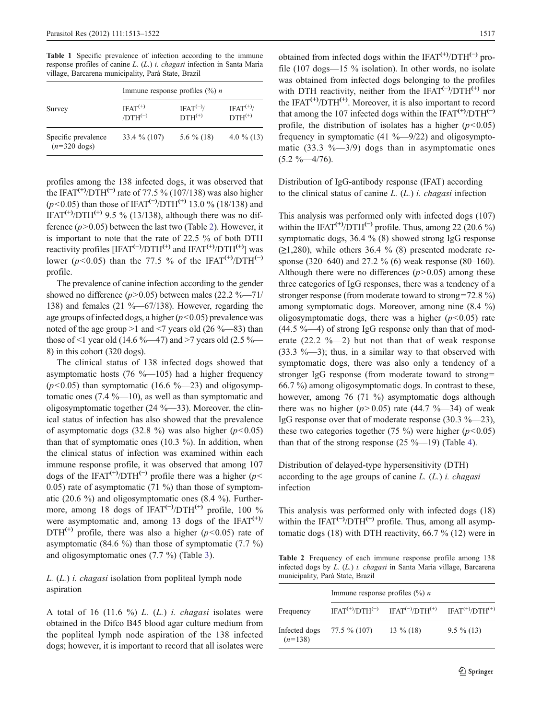<span id="page-4-0"></span>Table 1 Specific prevalence of infection according to the immune response profiles of canine L. (L.) i. chagasi infection in Santa Maria village, Barcarena municipality, Pará State, Brazil

|                                               | Immune response profiles $(\% ) n$ |                             |                          |  |
|-----------------------------------------------|------------------------------------|-----------------------------|--------------------------|--|
| Survey                                        | $IFAT(+)$<br>$/DTH^{(-)}$          | $IFAT^{(-)}$<br>$DTH^{(+)}$ | $IFAT(+)$<br>$DTH^{(+)}$ |  |
| Specific prevalence<br>$(n=320 \text{ dogs})$ | 33.4 % (107)                       | 5.6 $\%$ (18)               | 4.0 $\%$ (13)            |  |

profiles among the 138 infected dogs, it was observed that the IFAT<sup>(+)</sup>/DTH<sup>(-)</sup> rate of 77.5 % (107/138) was also higher  $(p<0.05)$  than those of IFAT<sup>(-)</sup>/DTH<sup>(+)</sup> 13.0 % (18/138) and<br>IEAT<sup>(+)</sup>/DTH<sup>(+)</sup> 0.5 % (13/138) although there was no dif IFAT<sup>(+)</sup>/DTH<sup>(+)</sup> 9.5 % (13/138), although there was no difference  $(p>0.05)$  between the last two (Table 2). However, it is important to note that the rate of 22.5 % of both DTH reactivity profiles [IFAT<sup>(−)</sup>/DTH<sup>(+)</sup> and IFAT<sup>(+)</sup>/DTH<sup>(+)</sup>] was lower ( $p$ <0.05) than the 77.5 % of the IFAT<sup>(+)</sup>/DTH<sup>(-)</sup> profile.

The prevalence of canine infection according to the gender showed no difference  $(p>0.05)$  between males (22.2 %—71/ 138) and females  $(21 \text{ %} -67/138)$ . However, regarding the age groups of infected dogs, a higher  $(p<0.05)$  prevalence was noted of the age group  $>1$  and  $< 7$  years old (26 %—83) than those of <1 year old (14.6 %—47) and >7 years old (2.5 %— 8) in this cohort (320 dogs).

The clinical status of 138 infected dogs showed that asymptomatic hosts  $(76 \text{ %} -105)$  had a higher frequency  $(p<0.05)$  than symptomatic (16.6 %—23) and oligosymptomatic ones  $(7.4 \text{ %} -10)$ , as well as than symptomatic and oligosymptomatic together (24 %—33). Moreover, the clinical status of infection has also showed that the prevalence of asymptomatic dogs (32.8 %) was also higher  $(p<0.05)$ than that of symptomatic ones  $(10.3 \%)$ . In addition, when the clinical status of infection was examined within each immune response profile, it was observed that among 107 dogs of the IFAT<sup>(+)</sup>/DTH<sup>(-)</sup> profile there was a higher ( $p$  < 0.05) rate of asymptomatic  $(71 \%)$  than those of symptomatic (20.6 %) and oligosymptomatic ones (8.4 %). Furthermore, among 18 dogs of IFAT<sup>(-)</sup>/DTH<sup>(+)</sup> profile, 100 % were asymptomatic and, among 13 dogs of the IFAT $(+)$  $DTH^{(+)}$  profile, there was also a higher ( $p<0.05$ ) rate of asymptomatic (84.6  $\%$ ) than those of symptomatic (7.7  $\%$ ) and oligosymptomatic ones (7.7 %) (Table [3](#page-5-0)).

L. (L.) i. chagasi isolation from popliteal lymph node aspiration

A total of 16 (11.6 %)  $L$ . ( $L$ .) *i. chagasi* isolates were obtained in the Difco B45 blood agar culture medium from the popliteal lymph node aspiration of the 138 infected dogs; however, it is important to record that all isolates were obtained from infected dogs within the IFAT<sup>(+)</sup>/DTH<sup>(-)</sup> profile (107 dogs—15 % isolation). In other words, no isolate was obtained from infected dogs belonging to the profiles with DTH reactivity, neither from the IFAT<sup>(-)</sup>/DTH<sup>(+)</sup> nor the IFAT<sup> $(+)$ </sup>/DTH<sup> $(+)$ </sup>. Moreover, it is also important to record that among the 107 infected dogs within the IFAT<sup> $(+)$ </sup>/DTH<sup> $(−)$ </sup> profile, the distribution of isolates has a higher  $(p<0.05)$ frequency in symptomatic  $(41 \text{ %} -9/22)$  and oligosymptomatic (33.3  $\% - 3/9$ ) dogs than in asymptomatic ones  $(5.2 \frac{9}{6} - \frac{4}{76})$ .

Distribution of IgG-antibody response (IFAT) according to the clinical status of canine  $L$ .  $(L)$  *i. chagasi* infection

This analysis was performed only with infected dogs (107) within the IFAT<sup>(+)</sup>/DTH<sup>(-)</sup> profile. Thus, among 22 (20.6 %) symptomatic dogs, 36.4 % (8) showed strong IgG response  $(\geq 1,280)$ , while others 36.4 % (8) presented moderate response (320–640) and 27.2 % (6) weak response (80–160). Although there were no differences  $(p>0.05)$  among these three categories of IgG responses, there was a tendency of a stronger response (from moderate toward to strong=72.8 %) among symptomatic dogs. Moreover, among nine (8.4 %) oligosymptomatic dogs, there was a higher  $(p<0.05)$  rate  $(44.5 \text{ %} -4)$  of strong IgG response only than that of moderate  $(22.2 \text{ %} -2)$  but not than that of weak response  $(33.3 \text{ %} -3)$ ; thus, in a similar way to that observed with symptomatic dogs, there was also only a tendency of a stronger IgG response (from moderate toward to strong= 66.7 %) among oligosymptomatic dogs. In contrast to these, however, among 76 (71 %) asymptomatic dogs although there was no higher  $(p>0.05)$  rate (44.7 %—34) of weak IgG response over that of moderate response (30.3 %—23), these two categories together (75 %) were higher ( $p$ <0.05) than that of the strong response  $(25 \% -19)$  (Table [4](#page-5-0)).

Distribution of delayed-type hypersensitivity (DTH) according to the age groups of canine  $L$ .  $(L)$  *i. chagasi* infection

This analysis was performed only with infected dogs (18) within the IFAT<sup>(-)</sup>/DTH<sup>(+)</sup> profile. Thus, among all asymptomatic dogs (18) with DTH reactivity, 66.7 % (12) were in

Table 2 Frequency of each immune response profile among 138 infected dogs by L. (L.) i. chagasi in Santa Maria village, Barcarena municipality, Pará State, Brazil

|                            | Immune response profiles $(\% ) n$ |                                                                      |               |  |
|----------------------------|------------------------------------|----------------------------------------------------------------------|---------------|--|
| Frequency                  |                                    | $IFAT^{(+)}/DTH^{(-)}$ $IFAT^{(-)}/DTH^{(+)}$ $IFAT^{(+)}/DTH^{(+)}$ |               |  |
| Infected dogs<br>$(n=138)$ | 77.5 % (107)                       | $13\%$ (18)                                                          | $9.5 \% (13)$ |  |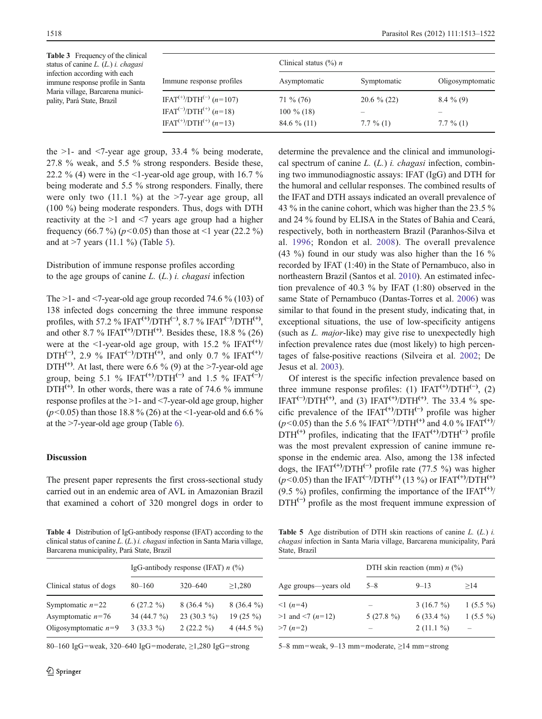<span id="page-5-0"></span>

| <b>Table 3</b> Frequency of the clinical<br>status of canine $L$ . $(L)$ <i>i. chagasi</i><br>infection according with each<br>immune response profile in Santa |                                                 | Clinical status $(\%)$ <i>n</i> |                |                  |
|-----------------------------------------------------------------------------------------------------------------------------------------------------------------|-------------------------------------------------|---------------------------------|----------------|------------------|
|                                                                                                                                                                 | Immune response profiles                        | Asymptomatic                    | Symptomatic    | Oligosymptomatic |
| Maria village, Barcarena munici-<br>pality, Pará State, Brazil                                                                                                  | IFAT <sup>(+)</sup> /DTH <sup>(-)</sup> (n=107) | $71\%$ (76)                     | $20.6 \% (22)$ | $8.4\%$ (9)      |
|                                                                                                                                                                 | IFAT <sup>(-)</sup> /DTH <sup>(+)</sup> (n=18)  | $100\%$ (18)                    |                |                  |
|                                                                                                                                                                 | IFAT <sup>(+)</sup> /DTH <sup>(+)</sup> (n=13)  | $84.6\%$ (11)                   | $7.7\%$ (1)    | $7.7\%$ (1)      |

the  $>1$ - and  $<7$ -year age group, 33.4 % being moderate, 27.8 % weak, and 5.5 % strong responders. Beside these, 22.2 % (4) were in the  $\leq$ 1-year-old age group, with 16.7 % being moderate and 5.5 % strong responders. Finally, there were only two  $(11.1 \%)$  at the  $>7$ -year age group, all (100 %) being moderate responders. Thus, dogs with DTH reactivity at the >1 and <7 years age group had a higher frequency (66.7 %) ( $p$ <0.05) than those at <1 year (22.2 %) and at  $>7$  years (11.1 %) (Table 5).

# Distribution of immune response profiles according to the age groups of canine  $L$ .  $(L)$  *i. chagasi* infection

The  $>1$ - and  $<7$ -year-old age group recorded 74.6 % (103) of 138 infected dogs concerning the three immune response profiles, with 57.2 % IFAT<sup>(+)</sup>/DTH<sup>(-)</sup>, 8.7 % IFAT<sup>(-)</sup>/DTH<sup>(+)</sup>, and other 8.7 % IFAT<sup>(+)</sup>/DTH<sup>(+)</sup>. Besides these, 18.8 % (26) were at the <1-year-old age group, with 15.2 % IFAT<sup>(+)</sup>/  $DTH^{(-)}$ , 2.9 % IFAT<sup>(−)</sup>/DTH<sup>(+)</sup>, and only 0.7 % IFAT<sup>(+)</sup>/ DTH<sup>(+)</sup>. At last, there were 6.6 % (9) at the >7-year-old age group, being 5.1 % IFAT<sup>(+)</sup>/DTH<sup>(-)</sup> and 1.5 % IFAT<sup>(-)</sup>/  $DTH^{(+)}$ . In other words, there was a rate of 74.6 % immune response profiles at the >1- and <7-year-old age group, higher ( $p$ <0.05) than those 18.8 % (26) at the <1-year-old and 6.6 % at the >7-year-old age group (Table [6\)](#page-6-0).

# Discussion

The present paper represents the first cross-sectional study carried out in an endemic area of AVL in Amazonian Brazil that examined a cohort of 320 mongrel dogs in order to

Table 4 Distribution of IgG-antibody response (IFAT) according to the clinical status of canine L. (L.) i. chagasi infection in Santa Maria village, Barcarena municipality, Pará State, Brazil

|                                                                     | IgG-antibody response (IFAT) $n$ (%)      |                                               |                                                       |
|---------------------------------------------------------------------|-------------------------------------------|-----------------------------------------------|-------------------------------------------------------|
| Clinical status of dogs                                             | $80 - 160$                                | $320 - 640$                                   | $\geq 1,280$                                          |
| Symptomatic $n=22$<br>Asymptomatic $n=76$<br>Oligosymptomatic $n=9$ | $6(27.2\%)$<br>34 (44.7 %)<br>$3(33.3\%)$ | $8(36.4\%)$<br>23 (30.3 $\%$ )<br>$2(22.2\%)$ | $8(36.4\%)$<br>19 $(25\frac{9}{0})$<br>4 (44.5 $\%$ ) |

80–160 IgG=weak, 320–640 IgG=moderate,  $\geq$ 1,280 IgG=strong

determine the prevalence and the clinical and immunological spectrum of canine  $L. (L.)$  i. *chagasi* infection, combining two immunodiagnostic assays: IFAT (IgG) and DTH for the humoral and cellular responses. The combined results of the IFAT and DTH assays indicated an overall prevalence of 43 % in the canine cohort, which was higher than the 23.5 % and 24 % found by ELISA in the States of Bahia and Ceará, respectively, both in northeastern Brazil (Paranhos-Silva et al. [1996;](#page-8-0) Rondon et al. [2008\)](#page-8-0). The overall prevalence (43 %) found in our study was also higher than the 16 % recorded by IFAT (1:40) in the State of Pernambuco, also in northeastern Brazil (Santos et al. [2010](#page-8-0)). An estimated infection prevalence of 40.3 % by IFAT (1:80) observed in the same State of Pernambuco (Dantas-Torres et al. [2006](#page-7-0)) was similar to that found in the present study, indicating that, in exceptional situations, the use of low-specificity antigens (such as L. major-like) may give rise to unexpectedly high infection prevalence rates due (most likely) to high percentages of false-positive reactions (Silveira et al. [2002](#page-8-0); De Jesus et al. [2003\)](#page-7-0).

Of interest is the specific infection prevalence based on three immune response profiles: (1)  $IFAT<sup>(+)</sup>/DTH<sup>(-)</sup>, (2)$ IFAT<sup>(-)</sup>/DTH<sup>(+)</sup>, and (3) IFAT<sup>(+)</sup>/DTH<sup>(+)</sup>. The 33.4 % specific prevalence of the IFAT<sup>(+)</sup>/DTH<sup>(-)</sup> profile was higher  $(p<0.05)$  than the 5.6 % IFAT<sup>(−)</sup>/DTH<sup>(+)</sup> and 4.0 % IFAT<sup>(+)</sup>/<br>DTH<sup>(+)</sup> profiles, indicating that the IFAT<sup>(+)</sup>/DTH<sup>(−)</sup> profile  $DTH^{(+)}$  profiles, indicating that the IFAT<sup> $(+)$ </sup>/DTH<sup> $(-)$ </sup> profile was the most prevalent expression of canine immune response in the endemic area. Also, among the 138 infected dogs, the IFAT<sup>(+)</sup>/DTH<sup>(-)</sup> profile rate (77.5 %) was higher  $(p<0.05)$  than the IFAT<sup>(-)</sup>/DTH<sup>(+)</sup> (13 %) or IFAT<sup>(+)</sup>/DTH<sup>(+)</sup><br>(9.5 %) profiles, confirming the importance of the IFAT<sup>(+)</sup>/ (9.5 %) profiles, confirming the importance of the IFAT<sup> $(+)$ </sup>  $DTH<sup>(-)</sup>$  profile as the most frequent immune expression of

**Table 5** Age distribution of DTH skin reactions of canine  $L$ .  $(L)$  i. chagasi infection in Santa Maria village, Barcarena municipality, Pará State, Brazil

|                       | DTH skin reaction (mm) $n$ (%) |             |            |
|-----------------------|--------------------------------|-------------|------------|
| Age groups—years old  | $5 - 8$                        | $9 - 13$    | >14        |
| $\leq 1$ (n=4)        |                                | $3(16.7\%)$ | $1(5.5\%)$ |
| $>1$ and $<$ 7 (n=12) | $5(27.8\%)$                    | $6(33.4\%)$ | $1(5.5\%)$ |
| $>7(n=2)$             |                                | $2(11.1\%)$ |            |

5–8 mm=weak, 9–13 mm=moderate,  $\geq$ 14 mm=strong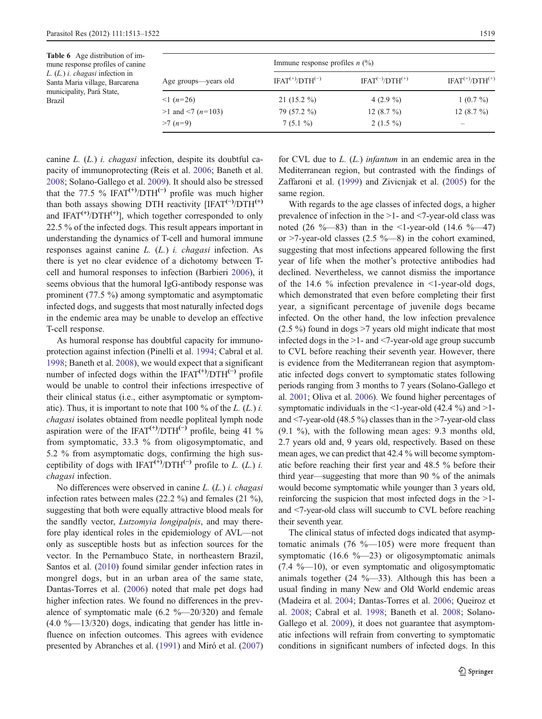<span id="page-6-0"></span>

| <b>Table 6</b> Age distribution of im-<br>mune response profiles of canine                                             |                       | Immune response profiles $n$ (%) |                       |                        |
|------------------------------------------------------------------------------------------------------------------------|-----------------------|----------------------------------|-----------------------|------------------------|
| $L_{1}(L_{1})$ <i>i. chagasi</i> infection in<br>Santa Maria village, Barcarena<br>municipality, Pará State,<br>Brazil | Age groups—years old  | $IFAT^{(+)}/DTH^{(-)}$           | $IFAT(-)/DTH(+)$      | $IFAT^{(+)}/DTH^{(+)}$ |
|                                                                                                                        | $\leq 1$ (n=26)       | $21(15.2\%)$                     | 4 $(2.9\%$            | $1(0.7\%)$             |
|                                                                                                                        | $>1$ and $<7$ (n=103) | 79 (57.2 %)                      | 12 $(8.7\frac{9}{0})$ | 12 $(8.7\frac{9}{0})$  |
|                                                                                                                        | $>7(n=9)$             | $7(5.1\%)$                       | $2(1.5\%)$            |                        |

canine L. (L.) i. chagasi infection, despite its doubtful capacity of immunoprotecting (Reis et al. [2006](#page-8-0); Baneth et al. [2008;](#page-7-0) Solano-Gallego et al. [2009](#page-9-0)). It should also be stressed that the 77.5 % IFAT<sup>(+)</sup>/DTH<sup>(-)</sup> profile was much higher than both assays showing DTH reactivity [IFAT<sup>(−)</sup>/DTH<sup>(+)</sup> and IFAT<sup>(+)</sup>/DTH<sup>(+)</sup>], which together corresponded to only 22.5 % of the infected dogs. This result appears important in understanding the dynamics of T-cell and humoral immune responses against canine L. (L.) i. chagasi infection. As there is yet no clear evidence of a dichotomy between Tcell and humoral responses to infection (Barbieri [2006](#page-7-0)), it seems obvious that the humoral IgG-antibody response was prominent (77.5 %) among symptomatic and asymptomatic infected dogs, and suggests that most naturally infected dogs in the endemic area may be unable to develop an effective T-cell response.

As humoral response has doubtful capacity for immunoprotection against infection (Pinelli et al. [1994;](#page-8-0) Cabral et al. [1998;](#page-7-0) Baneth et al. [2008](#page-7-0)), we would expect that a significant number of infected dogs within the IFAT<sup> $(+)$ </sup>/DTH<sup> $(-)$ </sup> profile would be unable to control their infections irrespective of their clinical status (i.e., either asymptomatic or symptomatic). Thus, it is important to note that  $100\%$  of the *L*. (*L.*) *i. chagasi* isolates obtained from needle popliteal lymph node *chagasi* isolates obtained from needle popliteal lymph node aspiration were of the IFAT<sup>(+)</sup>/DTH<sup>(-)</sup> profile, being 41 % from symptomatic, 33.3 % from oligosymptomatic, and 5.2 % from asymptomatic dogs, confirming the high susceptibility of dogs with IFAT<sup>(+)</sup>/DTH<sup>(-)</sup> profile to L. (L.) i. chagasi infection.

No differences were observed in canine L. (L.) i. chagasi infection rates between males (22.2 %) and females (21 %), suggesting that both were equally attractive blood meals for the sandfly vector, *Lutzomyia longipalpis*, and may therefore play identical roles in the epidemiology of AVL—not only as susceptible hosts but as infection sources for the vector. In the Pernambuco State, in northeastern Brazil, Santos et al. [\(2010](#page-8-0)) found similar gender infection rates in mongrel dogs, but in an urban area of the same state, Dantas-Torres et al. [\(2006](#page-7-0)) noted that male pet dogs had higher infection rates. We found no differences in the prevalence of symptomatic male  $(6.2 \text{ %} -20/320)$  and female  $(4.0 \text{ %} -13/320)$  dogs, indicating that gender has little influence on infection outcomes. This agrees with evidence presented by Abranches et al. ([1991\)](#page-7-0) and Miró et al. ([2007\)](#page-8-0)

for CVL due to  $L$ .  $(L)$  infantum in an endemic area in the Mediterranean region, but contrasted with the findings of Zaffaroni et al. ([1999\)](#page-9-0) and Zivicnjak et al. ([2005\)](#page-9-0) for the same region.

With regards to the age classes of infected dogs, a higher prevalence of infection in the >1- and <7-year-old class was noted (26 %—83) than in the <1-year-old (14.6 %—47) or  $>7$ -year-old classes (2.5 %—8) in the cohort examined, suggesting that most infections appeared following the first year of life when the mother's protective antibodies had declined. Nevertheless, we cannot dismiss the importance of the 14.6  $\%$  infection prevalence in  $\leq$ 1-year-old dogs, which demonstrated that even before completing their first year, a significant percentage of juvenile dogs became infected. On the other hand, the low infection prevalence (2.5 %) found in dogs >7 years old might indicate that most infected dogs in the >1- and <7-year-old age group succumb to CVL before reaching their seventh year. However, there is evidence from the Mediterranean region that asymptomatic infected dogs convert to symptomatic states following periods ranging from 3 months to 7 years (Solano-Gallego et al. [2001](#page-9-0); Oliva et al. [2006\)](#page-8-0). We found higher percentages of symptomatic individuals in the  $\leq$ 1-year-old (42.4 %) and  $\geq$ 1and  $\le$ 7-year-old (48.5 %) classes than in the  $\ge$ 7-year-old class (9.1 %), with the following mean ages: 9.3 months old, 2.7 years old and, 9 years old, respectively. Based on these mean ages, we can predict that 42.4 % will become symptomatic before reaching their first year and 48.5 % before their third year—suggesting that more than 90 % of the animals would become symptomatic while younger than 3 years old, reinforcing the suspicion that most infected dogs in the >1 and <7-year-old class will succumb to CVL before reaching their seventh year.

The clinical status of infected dogs indicated that asymptomatic animals  $(76 \text{ %} -105)$  were more frequent than symptomatic (16.6  $\%$ —23) or oligosymptomatic animals  $(7.4 \text{ %} -10)$ , or even symptomatic and oligosymptomatic animals together (24 %—33). Although this has been a usual finding in many New and Old World endemic areas (Madeira et al. [2004](#page-8-0); Dantas-Torres et al. [2006](#page-7-0); Queiroz et al. [2008;](#page-8-0) Cabral et al. [1998](#page-7-0); Baneth et al. [2008;](#page-7-0) Solano-Gallego et al. [2009](#page-9-0)), it does not guarantee that asymptomatic infections will refrain from converting to symptomatic conditions in significant numbers of infected dogs. In this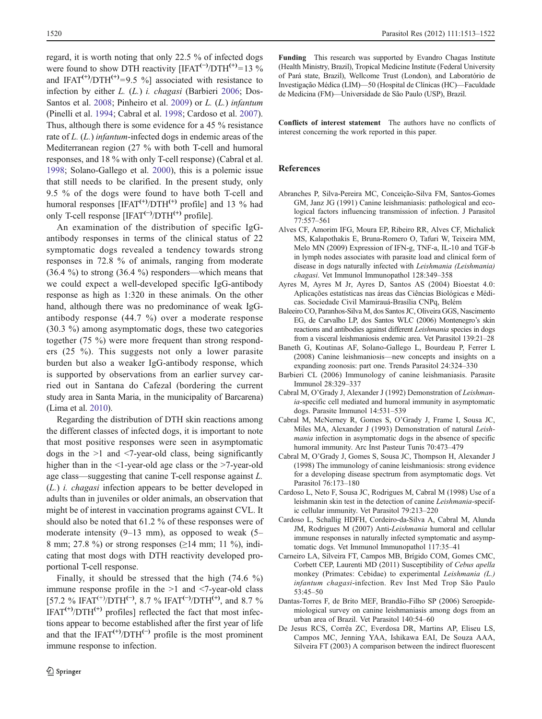<span id="page-7-0"></span>regard, it is worth noting that only 22.5 % of infected dogs were found to show DTH reactivity [IFAT<sup>(-)</sup>/DTH<sup>(+)</sup>=13 % and IFAT<sup>(+)</sup>/DTH<sup>(+)</sup>=9.5 %] associated with resistance to infection by either L. (L.) i. chagasi (Barbieri 2006; Dos-Santos et al. [2008](#page-8-0); Pinheiro et al. [2009\)](#page-8-0) or L. (L.) infantum (Pinelli et al. [1994](#page-8-0); Cabral et al. 1998; Cardoso et al. 2007). Thus, although there is some evidence for a 45 % resistance rate of L. (L.) *infantum*-infected dogs in endemic areas of the Mediterranean region (27 % with both T-cell and humoral responses, and 18 % with only T-cell response) (Cabral et al. 1998; Solano-Gallego et al. [2000\)](#page-9-0), this is a polemic issue that still needs to be clarified. In the present study, only 9.5 % of the dogs were found to have both T-cell and humoral responses  $[IFAT<sup>(+)</sup>/DTH<sup>(+)</sup>$  profile] and 13 % had only T-cell response [IFAT<sup>(−)</sup>/DTH<sup>(+)</sup> profile].

An examination of the distribution of specific IgGantibody responses in terms of the clinical status of 22 symptomatic dogs revealed a tendency towards strong responses in 72.8 % of animals, ranging from moderate  $(36.4 \%)$  to strong  $(36.4 \%)$  responders—which means that we could expect a well-developed specific IgG-antibody response as high as 1:320 in these animals. On the other hand, although there was no predominance of weak IgGantibody response (44.7 %) over a moderate response (30.3 %) among asymptomatic dogs, these two categories together (75 %) were more frequent than strong responders (25 %). This suggests not only a lower parasite burden but also a weaker IgG-antibody response, which is supported by observations from an earlier survey carried out in Santana do Cafezal (bordering the current study area in Santa Maria, in the municipality of Barcarena) (Lima et al. [2010](#page-8-0)).

Regarding the distribution of DTH skin reactions among the different classes of infected dogs, it is important to note that most positive responses were seen in asymptomatic dogs in the >1 and <7-year-old class, being significantly higher than in the <1-year-old age class or the >7-year-old age class—suggesting that canine T-cell response against L. (L.) i. chagasi infection appears to be better developed in adults than in juveniles or older animals, an observation that might be of interest in vaccination programs against CVL. It should also be noted that 61.2 % of these responses were of moderate intensity  $(9-13 \text{ mm})$ , as opposed to weak  $(5-$ 8 mm; 27.8 %) or strong responses ( $\geq$ 14 mm; 11 %), indicating that most dogs with DTH reactivity developed proportional T-cell response.

Finally, it should be stressed that the high (74.6 %) immune response profile in the  $>1$  and  $< 7$ -year-old class [57.2 % IFAT<sup>(+)</sup>/DTH<sup>(-)</sup>, 8.7 % IFAT<sup>(-)</sup>/DTH<sup>(+)</sup>, and 8.7 %  $IFAT<sup>(+)</sup>/DTH<sup>(+)</sup>$  profiles] reflected the fact that most infections appear to become established after the first year of life and that the IFAT $(+)$ /DTH $(+)$  profile is the most prominent immune response to infection.

Funding This research was supported by Evandro Chagas Institute (Health Ministry, Brazil), Tropical Medicine Institute (Federal University of Pará state, Brazil), Wellcome Trust (London), and Laboratório de Investigação Médica (LIM)—50 (Hospital de Clínicas (HC)—Faculdade de Medicina (FM)—Universidade de São Paulo (USP), Brazil.

Conflicts of interest statement The authors have no conflicts of interest concerning the work reported in this paper.

# References

- Abranches P, Silva-Pereira MC, Conceição-Silva FM, Santos-Gomes GM, Janz JG (1991) Canine leishmaniasis: pathological and ecological factors influencing transmission of infection. J Parasitol 77:557–561
- Alves CF, Amorim IFG, Moura EP, Ribeiro RR, Alves CF, Michalick MS, Kalapothakis E, Bruna-Romero O, Tafuri W, Teixeira MM, Melo MN (2009) Expression of IFN-g, TNF-a, IL-10 and TGF-b in lymph nodes associates with parasite load and clinical form of disease in dogs naturally infected with Leishmania (Leishmania) chagasi. Vet Immunol Immunopathol 128:349–<sup>358</sup>
- Ayres M, Ayres M Jr, Ayres D, Santos AS (2004) Bioestat 4.0: Aplicações estatísticas nas áreas das Ciências Biológicas e Médicas. Sociedade Civil Mamirauá-Brasília CNPq, Belém
- Baleeiro CO, Paranhos-Silva M, dos Santos JC, Oliveira GGS, Nascimento EG, de Carvalho LP, dos Santos WLC (2006) Montenegro's skin reactions and antibodies against different Leishmania species in dogs from a visceral leishmaniosis endemic area. Vet Parasitol 139:21–28
- Baneth G, Koutinas AF, Solano-Gallego L, Bourdeau P, Ferrer L (2008) Canine leishmaniosis—new concepts and insights on a expanding zoonosis: part one. Trends Parasitol 24:324–330
- Barbieri CL (2006) Immunology of canine leishmaniasis. Parasite Immunol 28:329–337
- Cabral M, O'Grady J, Alexander J (1992) Demonstration of Leishmania-specific cell mediated and humoral immunity in asymptomatic dogs. Parasite Immunol 14:531–539
- Cabral M, McNerney R, Gomes S, O'Grady J, Frame I, Sousa JC, Miles MA, Alexander J (1993) Demonstration of natural Leishmania infection in asymptomatic dogs in the absence of specific humoral immunity. Arc Inst Pasteur Tunis 70:473–479
- Cabral M, O'Grady J, Gomes S, Sousa JC, Thompson H, Alexander J (1998) The immunology of canine leishmaniosis: strong evidence for a developing disease spectrum from asymptomatic dogs. Vet Parasitol 76:173–180
- Cardoso L, Neto F, Sousa JC, Rodrigues M, Cabral M (1998) Use of a leishmanin skin test in the detection of canine Leishmania-specific cellular immunity. Vet Parasitol 79:213–220
- Cardoso L, Schallig HDFH, Cordeiro-da-Silva A, Cabral M, Alunda JM, Rodrigues M (2007) Anti-Leishmania humoral and cellular immune responses in naturally infected symptomatic and asymptomatic dogs. Vet Immunol Immunopathol 117:35–41
- Carneiro LA, Silveira FT, Campos MB, Brígido COM, Gomes CMC, Corbett CEP, Laurenti MD (2011) Susceptibility of Cebus apella monkey (Primates: Cebidae) to experimental Leishmania (L.) infantum chagasi-infection. Rev Inst Med Trop São Paulo 53:45–50
- Dantas-Torres F, de Brito MEF, Brandão-Filho SP (2006) Seroepidemiological survey on canine leishmaniasis among dogs from an urban area of Brazil. Vet Parasitol 140:54–60
- De Jesus RCS, Corrêa ZC, Everdosa DR, Martins AP, Eliseu LS, Campos MC, Jenning YAA, Ishikawa EAI, De Souza AAA, Silveira FT (2003) A comparison between the indirect fluorescent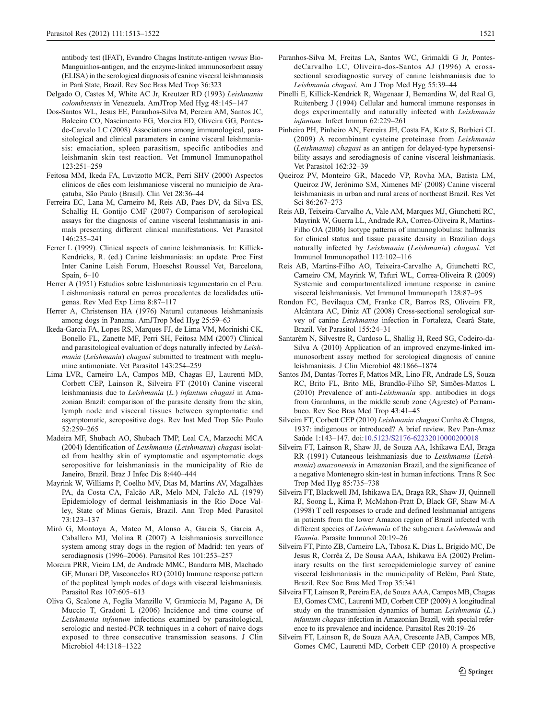<span id="page-8-0"></span>antibody test (IFAT), Evandro Chagas Institute-antigen versus Bio-Manguinhos-antigen, and the enzyme-linked immunosorbent assay (ELISA) in the serological diagnosis of canine visceral leishmaniasis in Pará State, Brazil. Rev Soc Bras Med Trop 36:323

- Delgado O, Castes M, White AC Jr, Kreutzer RD (1993) Leishmania colombiensis in Venezuela. AmJTrop Med Hyg 48:145–<sup>147</sup>
- Dos-Santos WL, Jesus EE, Paranhos-Silva M, Pereira AM, Santos JC, Baleeiro CO, Nascimento EG, Moreira ED, Oliveira GG, Pontesde-Carvalo LC (2008) Associations among immunological, parasitological and clinical parameters in canine visceral leishmaniasis: emaciation, spleen parasitism, specific antibodies and leishmanin skin test reaction. Vet Immunol Immunopathol 123:251–259
- Feitosa MM, Ikeda FA, Luvizotto MCR, Perri SHV (2000) Aspectos clínicos de cães com leishmaniose visceral no município de Araçatuba, São Paulo (Brasil). Clin Vet 28:36–44
- Ferreira EC, Lana M, Carneiro M, Reis AB, Paes DV, da Silva ES, Schallig H, Gontijo CMF (2007) Comparison of serological assays for the diagnosis of canine visceral leishmaniasis in animals presenting different clinical manifestations. Vet Parasitol 146:235–241
- Ferrer L (1999). Clinical aspects of canine leishmaniasis. In: Killick-Kendricks, R. (ed.) Canine leishmaniasis: an update. Proc First Inter Canine Leish Forum, Hoeschst Roussel Vet, Barcelona, Spain, 6–10
- Herrer A (1951) Estudios sobre leishmaniasis tegumentaria en el Peru. Leishmaniasis natural en perros procedentes de localidades utügenas. Rev Med Exp Lima 8:87–117
- Herrer A, Christensen HA (1976) Natural cutaneous leishmaniasis among dogs in Panama. AmJTrop Med Hyg 25:59–63
- Ikeda-Garcia FA, Lopes RS, Marques FJ, de Lima VM, Morinishi CK, Bonello FL, Zanette MF, Perri SH, Feitosa MM (2007) Clinical and parasitological evaluation of dogs naturally infected by Leishmania (Leishmania) chagasi submitted to treatment with meglumine antimoniate. Vet Parasitol 143:254–259
- Lima LVR, Carneiro LA, Campos MB, Chagas EJ, Laurenti MD, Corbett CEP, Lainson R, Silveira FT (2010) Canine visceral leishmaniasis due to Leishmania (L.) infantum chagasi in Amazonian Brazil: comparison of the parasite density from the skin, lymph node and visceral tissues between symptomatic and asymptomatic, seropositive dogs. Rev Inst Med Trop São Paulo 52:259–265
- Madeira MF, Shubach AO, Shubach TMP, Leal CA, Marzochi MCA (2004) Identification of Leishmania (Leishmania) chagasi isolated from healthy skin of symptomatic and asymptomatic dogs seropositive for leishmaniasis in the municipality of Rio de Janeiro, Brazil. Braz J Infec Dis 8:440–444
- Mayrink W, Williams P, Coelho MV, Dias M, Martins AV, Magalhães PA, da Costa CA, Falcão AR, Melo MN, Falcão AL (1979) Epidemiology of dermal leishmaniasis in the Rio Doce Valley, State of Minas Gerais, Brazil. Ann Trop Med Parasitol 73:123–137
- Miró G, Montoya A, Mateo M, Alonso A, Garcia S, Garcia A, Caballero MJ, Molina R (2007) A leishmaniosis surveillance system among stray dogs in the region of Madrid: ten years of serodiagnosis (1996–2006). Parasitol Res 101:253–257
- Moreira PRR, Vieira LM, de Andrade MMC, Bandarra MB, Machado GF, Munari DP, Vasconcelos RO (2010) Immune response pattern of the popliteal lymph nodes of dogs with visceral leishmaniasis. Parasitol Res 107:605–613
- Oliva G, Scalone A, Foglia Manzillo V, Gramiccia M, Pagano A, Di Muccio T, Gradoni L (2006) Incidence and time course of Leishmania infantum infections examined by parasitological, serologic and nested-PCR techniques in a cohort of naive dogs exposed to three consecutive transmission seasons. J Clin Microbiol 44:1318–1322
- Paranhos-Silva M, Freitas LA, Santos WC, Grimaldi G Jr, PontesdeCarvalho LC, Oliveira-dos-Santos AJ (1996) A crosssectional serodiagnostic survey of canine leishmaniasis due to Leishmania chagasi. Am J Trop Med Hyg 55:39–<sup>44</sup>
- Pinelli E, Killick-Kendrick R, Wagenaar J, Bernardina W, del Real G, Ruitenberg J (1994) Cellular and humoral immune responses in dogs experimentally and naturally infected with Leishmania infantum. Infect Immun 62:229–<sup>261</sup>
- Pinheiro PH, Pinheiro AN, Ferreira JH, Costa FA, Katz S, Barbieri CL (2009) A recombinant cysteine proteinase from Leishmania (Leishmania) chagasi as an antigen for delayed-type hypersensibility assays and serodiagnosis of canine visceral leishmaniasis. Vet Parasitol 162:32–39
- Queiroz PV, Monteiro GR, Macedo VP, Rovha MA, Batista LM, Queiroz JW, Jerônimo SM, Ximenes MF (2008) Canine visceral leishmaniasis in urban and rural areas of northeast Brazil. Res Vet Sci 86:267–273
- Reis AB, Teixeira-Carvalho A, Vale AM, Marques MJ, Giunchetti RC, Mayrink W, Guerra LL, Andrade RA, Correa-Oliveira R, Martins-Filho OA (2006) Isotype patterns of immunoglobulins: hallmarks for clinical status and tissue parasite density in Brazilian dogs naturally infected by Leishmania (Leishmania) chagasi. Vet Immunol Immunopathol 112:102–116
- Reis AB, Martins-Filho AO, Teixeira-Carvalho A, Giunchetti RC, Carneiro CM, Mayrink W, Tafuri WL, Correa-Oliveira R (2009) Systemic and compartmentalized immune response in canine visceral leishmaniasis. Vet Immunol Immunopath 128:87–95
- Rondon FC, Bevilaqua CM, Franke CR, Barros RS, Oliveira FR, Alcântara AC, Diniz AT (2008) Cross-sectional serological survey of canine Leishmania infection in Fortaleza, Ceará State, Brazil. Vet Parasitol 155:24–31
- Santarém N, Silvestre R, Cardoso L, Shallig H, Reed SG, Codeiro-da-Silva A (2010) Application of an improved enzyme-linked immunosorbent assay method for serological diagnosis of canine leishmaniasis. J Clin Microbiol 48:1866–1874
- Santos JM, Dantas-Torres F, Mattos MR, Lino FR, Andrade LS, Souza RC, Brito FL, Brito ME, Brandão-Filho SP, Simões-Mattos L (2010) Prevalence of anti-Leishmania spp. antibodies in dogs from Garanhuns, in the middle scrub zone (Agreste) of Pernambuco. Rev Soc Bras Med Trop 43:41–45
- Silveira FT, Corbett CEP (2010) Leishmania chagasi Cunha & Chagas, 1937: indigenous or introduced? A brief review. Rev Pan-Amaz Saúde 1:143–147. doi[:10.5123/S2176-62232010000200018](http://dx.doi.org/10.5123/S2176-62232010000200018)
- Silveira FT, Lainson R, Shaw JJ, de Souza AA, Ishikawa EAI, Braga RR (1991) Cutaneous leishmaniasis due to Leishmania (Leishmania) amazonensis in Amazonian Brazil, and the significance of a negative Montenegro skin-test in human infections. Trans R Soc Trop Med Hyg 85:735–738
- Silveira FT, Blackwell JM, Ishikawa EA, Braga RR, Shaw JJ, Quinnell RJ, Soong L, Kima P, McMahon-Pratt D, Black GF, Shaw M-A (1998) T cell responses to crude and defined leishmanial antigens in patients from the lower Amazon region of Brazil infected with different species of Leishmania of the subgenera Leishmania and Viannia. Parasite Immunol 20:19–<sup>26</sup>
- Silveira FT, Pinto ZB, Carneiro LA, Tabosa K, Dias L, Brígido MC, De Jesus R, Corrêa Z, De Sousa AAA, Ishikawa EA (2002) Preliminary results on the first seroepidemiologic survey of canine visceral leishmaniasis in the municipality of Belém, Pará State, Brazil. Rev Soc Bras Med Trop 35:341
- Silveira FT, Lainson R, Pereira EA, de Souza AAA, Campos MB, Chagas EJ, Gomes CMC, Laurenti MD, Corbett CEP (2009) A longitudinal study on the transmission dynamics of human Leishmania (L.) infantum chagasi-infection in Amazonian Brazil, with special reference to its prevalence and incidence. Parasitol Res 20:19–26
- Silveira FT, Lainson R, de Souza AAA, Crescente JAB, Campos MB, Gomes CMC, Laurenti MD, Corbett CEP (2010) A prospective